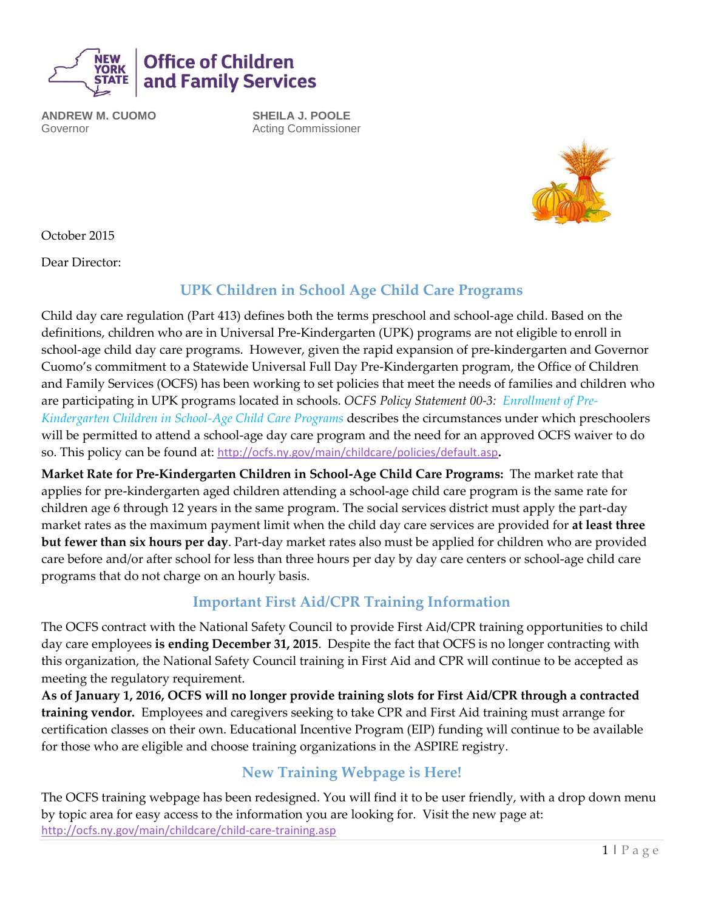

**ANDREW M. CUOMO** Governor

**SHEILA J. POOLE** Acting Commissioner



October 2015

Dear Director:

## **UPK Children in School Age Child Care Programs**

Child day care regulation (Part 413) defines both the terms preschool and school-age child. Based on the definitions, children who are in Universal Pre-Kindergarten (UPK) programs are not eligible to enroll in school-age child day care programs. However, given the rapid expansion of pre-kindergarten and Governor Cuomo's commitment to a Statewide Universal Full Day Pre-Kindergarten program, the Office of Children and Family Services (OCFS) has been working to set policies that meet the needs of families and children who are participating in UPK programs located in schools. *OCFS Policy Statement 00-3: Enrollment of Pre-Kindergarten Children in School-Age Child Care Programs* describes the circumstances under which preschoolers will be permitted to attend a school-age day care program and the need for an approved OCFS waiver to do so. This policy can be found at: <http://ocfs.ny.gov/main/childcare/policies/default.asp>**.** 

**Market Rate for Pre-Kindergarten Children in School-Age Child Care Programs:** The market rate that applies for pre-kindergarten aged children attending a school-age child care program is the same rate for children age 6 through 12 years in the same program. The social services district must apply the part-day market rates as the maximum payment limit when the child day care services are provided for **at least three but fewer than six hours per day**. Part-day market rates also must be applied for children who are provided care before and/or after school for less than three hours per day by day care centers or school-age child care programs that do not charge on an hourly basis.

## **Important First Aid/CPR Training Information**

The OCFS contract with the National Safety Council to provide First Aid/CPR training opportunities to child day care employees **is ending December 31, 2015**. Despite the fact that OCFS is no longer contracting with this organization, the National Safety Council training in First Aid and CPR will continue to be accepted as meeting the regulatory requirement.

**As of January 1, 2016, OCFS will no longer provide training slots for First Aid/CPR through a contracted training vendor.** Employees and caregivers seeking to take CPR and First Aid training must arrange for certification classes on their own. Educational Incentive Program (EIP) funding will continue to be available for those who are eligible and choose training organizations in the ASPIRE registry.

# **New Training Webpage is Here!**

The OCFS training webpage has been redesigned. You will find it to be user friendly, with a drop down menu by topic area for easy access to the information you are looking for. Visit the new page at: <http://ocfs.ny.gov/main/childcare/child-care-training.asp>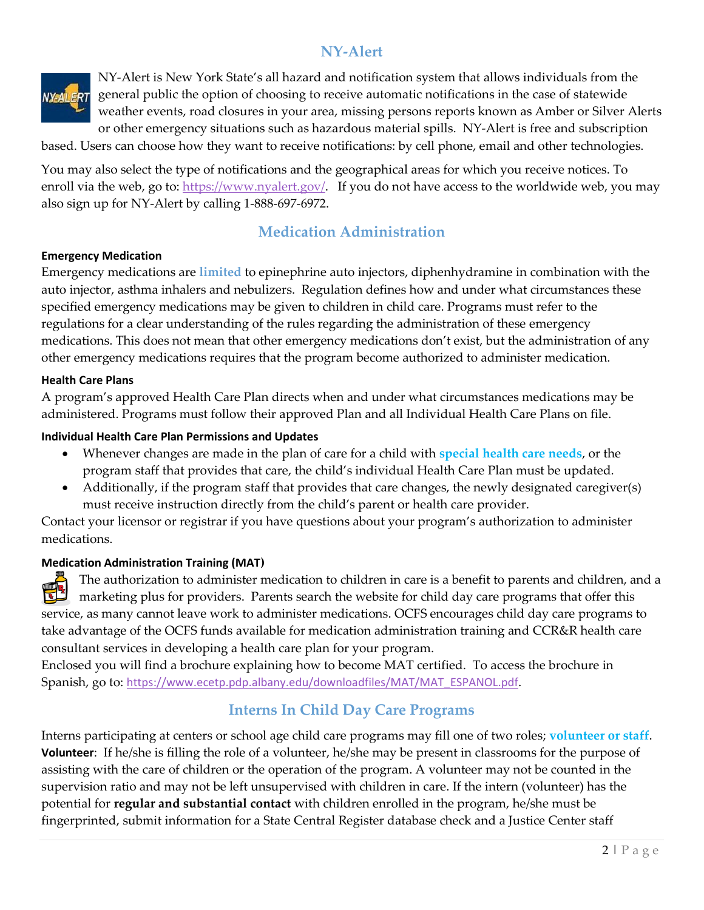## **NY-Alert**



NY-Alert is New York State's all hazard and notification system that allows individuals from the general public the option of choosing to receive automatic notifications in the case of statewide weather events, road closures in your area, missing persons reports known as Amber or Silver Alerts or other emergency situations such as hazardous material spills. NY-Alert is free and subscription

based. Users can choose how they want to receive notifications: by cell phone, email and other technologies.

You may also select the type of notifications and the geographical areas for which you receive notices. To enroll via the web, go to: [https://www.nyalert.gov/.](https://www.nyalert.gov/) If you do not have access to the worldwide web, you may also sign up for NY-Alert by calling 1-888-697-6972.

### **Medication Administration**

#### **Emergency Medication**

Emergency medications are **limited** to epinephrine auto injectors, diphenhydramine in combination with the auto injector, asthma inhalers and nebulizers. Regulation defines how and under what circumstances these specified emergency medications may be given to children in child care. Programs must refer to the regulations for a clear understanding of the rules regarding the administration of these emergency medications. This does not mean that other emergency medications don't exist, but the administration of any other emergency medications requires that the program become authorized to administer medication.

#### **Health Care Plans**

A program's approved Health Care Plan directs when and under what circumstances medications may be administered. Programs must follow their approved Plan and all Individual Health Care Plans on file.

#### **Individual Health Care Plan Permissions and Updates**

- Whenever changes are made in the plan of care for a child with **special health care needs**, or the program staff that provides that care, the child's individual Health Care Plan must be updated.
- Additionally, if the program staff that provides that care changes, the newly designated caregiver(s) must receive instruction directly from the child's parent or health care provider.

Contact your licensor or registrar if you have questions about your program's authorization to administer medications.

#### **Medication Administration Training (MAT)**

The authorization to administer medication to children in care is a benefit to parents and children, and a ŦĽ marketing plus for providers. Parents search the website for child day care programs that offer this service, as many cannot leave work to administer medications. OCFS encourages child day care programs to take advantage of the OCFS funds available for medication administration training and CCR&R health care consultant services in developing a health care plan for your program.

Enclosed you will find a brochure explaining how to become MAT certified. To access the brochure in Spanish, go to: [https://www.ecetp.pdp.albany.edu/downloadfiles/MAT/MAT\\_ESPANOL.pdf](https://www.ecetp.pdp.albany.edu/downloadfiles/MAT/MAT_ESPANOL.pdf).

### **Interns In Child Day Care Programs**

Interns participating at centers or school age child care programs may fill one of two roles; **volunteer or staff**. **Volunteer**: If he/she is filling the role of a volunteer, he/she may be present in classrooms for the purpose of assisting with the care of children or the operation of the program. A volunteer may not be counted in the supervision ratio and may not be left unsupervised with children in care. If the intern (volunteer) has the potential for **regular and substantial contact** with children enrolled in the program, he/she must be fingerprinted, submit information for a State Central Register database check and a Justice Center staff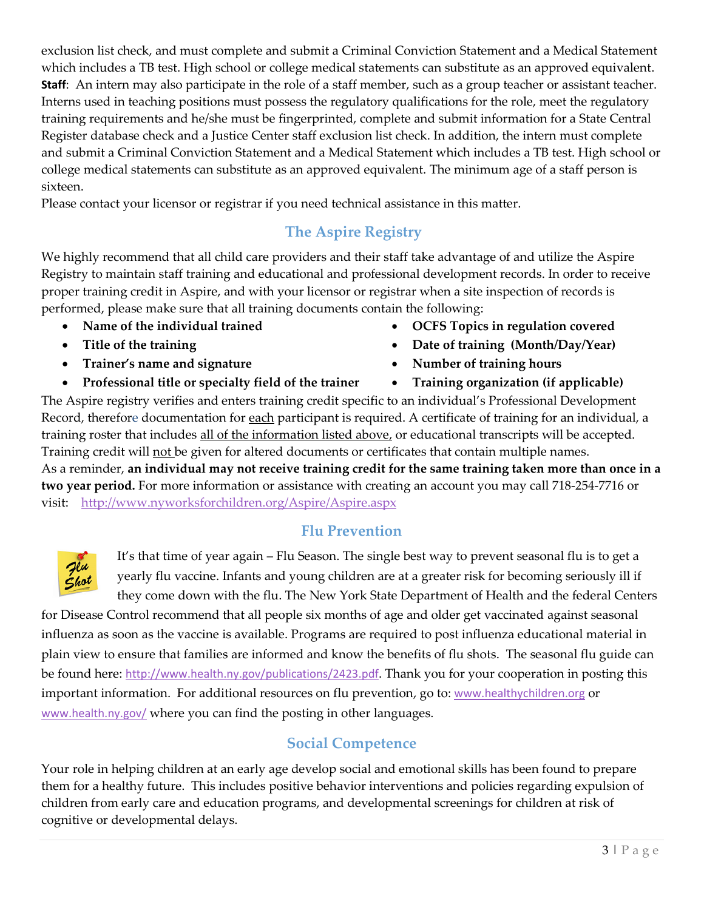exclusion list check, and must complete and submit a Criminal Conviction Statement and a Medical Statement which includes a TB test. High school or college medical statements can substitute as an approved equivalent. **Staff**: An intern may also participate in the role of a staff member, such as a group teacher or assistant teacher. Interns used in teaching positions must possess the regulatory qualifications for the role, meet the regulatory training requirements and he/she must be fingerprinted, complete and submit information for a State Central Register database check and a Justice Center staff exclusion list check. In addition, the intern must complete and submit a Criminal Conviction Statement and a Medical Statement which includes a TB test. High school or college medical statements can substitute as an approved equivalent. The minimum age of a staff person is sixteen.

Please contact your licensor or registrar if you need technical assistance in this matter.

# **The Aspire Registry**

We highly recommend that all child care providers and their staff take advantage of and utilize the Aspire Registry to maintain staff training and educational and professional development records. In order to receive proper training credit in Aspire, and with your licensor or registrar when a site inspection of records is performed, please make sure that all training documents contain the following:

- 
- 
- Trainer's name and signature **•** Number of training hours
- **Professional title or specialty field of the trainer •** Training organization (if applicable)
- Name of the individual trained **•** OCFS Topics in regulation covered
- Title of the training **because the contract of the training (Month/Day/Year)** 
	-
	-

The Aspire registry verifies and enters training credit specific to an individual's Professional Development Record, therefore documentation for each participant is required. A certificate of training for an individual, a training roster that includes all of the information listed above, or educational transcripts will be accepted. Training credit will not be given for altered documents or certificates that contain multiple names. As a reminder, **an individual may not receive training credit for the same training taken more than once in a two year period.** For more information or assistance with creating an account you may call 718-254-7716 or visit:<http://www.nyworksforchildren.org/Aspire/Aspire.aspx>

# **Flu Prevention**



It's that time of year again – Flu Season. The single best way to prevent seasonal flu is to get a yearly flu vaccine. Infants and young children are at a greater risk for becoming seriously ill if they come down with the flu. The New York State Department of Health and the federal Centers

for Disease Control recommend that all people six months of age and older get vaccinated against seasonal influenza as soon as the vaccine is available. Programs are required to post influenza educational material in plain view to ensure that families are informed and know the benefits of flu shots. The seasonal flu guide can be found here: <http://www.health.ny.gov/publications/2423.pdf>. Thank you for your cooperation in posting this important information. For additional resources on flu prevention, go to: www.healthychildren.org or [www.health.ny.gov/](http://www.health.ny.gov/) where you can find the posting in other languages.

# **Social Competence**

Your role in helping children at an early age develop social and emotional skills has been found to prepare them for a healthy future. This includes positive behavior interventions and policies regarding expulsion of children from early care and education programs, and developmental screenings for children at risk of cognitive or developmental delays.